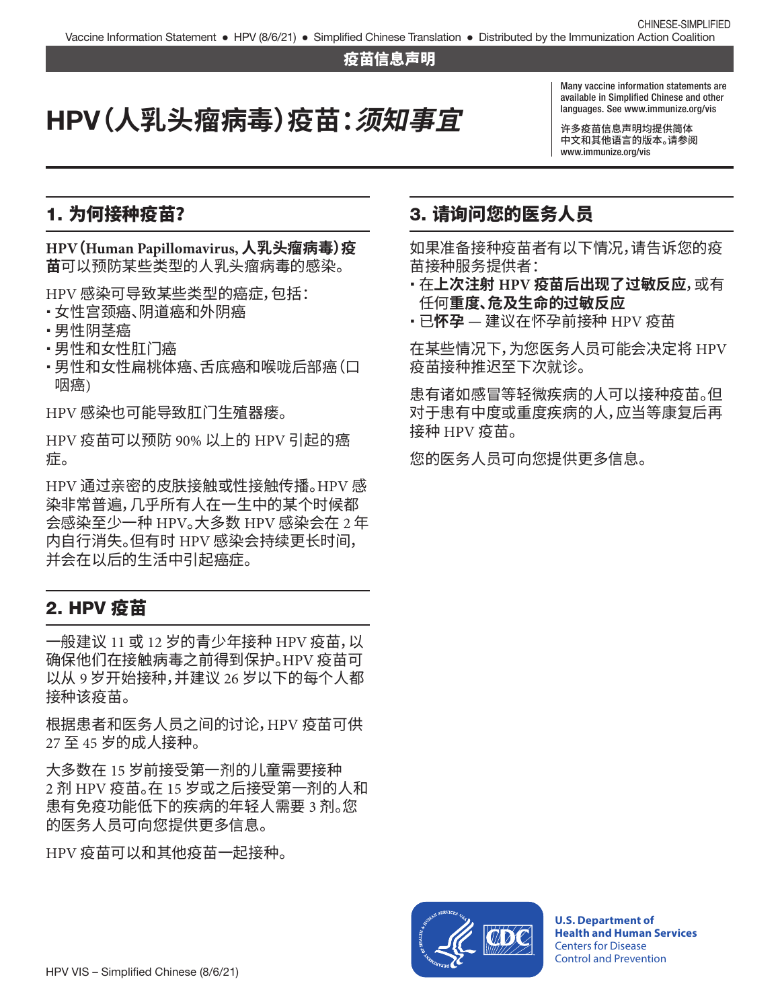#### 疫苗信息声明

# HPV**(人乳头瘤病毒)疫苗:须知事宜**

Many vaccine information statements are available in Simplified Chinese and other languages. See [www.immunize.org/vis](http://www.immunize.org/vis)

许多疫苗信息声明均提供简体 中文和其他语言的版本。请参阅 [www.immunize.org/vis](http://www.immunize.org/vis)

#### 1. 为何接种疫苗?

**HPV(Human Papillomavirus, 人乳头瘤病毒)疫 苗**可以预防某些类型的人乳头瘤病毒的感染。

HPV 感染可导致某些类型的癌症,包括:

- 女性宫颈癌、阴道癌和外阴癌
- •男性阴茎癌
- •男性和女性肛门癌
- ・男性和女性扁桃体癌、舌底癌和喉咙后部癌(口 咽癌)

HPV 感染也可能导致肛门生殖器瘘。

HPV 疫苗可以预防 90% 以上的 HPV 引起的癌 症。

HPV 通过亲密的皮肤接触或性接触传播。HPV 感 染非常普遍,几乎所有人在一生中的某个时候都 会感染至少一种 HPV。大多数 HPV 感染会在 2 年 内自行消失。但有时 HPV 感染会持续更长时间, 并会在以后的生活中引起癌症。

#### 2. HPV 疫苗

一般建议 11 或 12 岁的青少年接种 HPV 疫苗,以 确保他们在接触病毒之前得到保护。HPV 疫苗可 以从 9 岁开始接种,并建议 26 岁以下的每个人都 接种该疫苗。

根据患者和医务人员之间的讨论,HPV 疫苗可供 27 至 45 岁的成人接种。

大多数在 15 岁前接受第一剂的儿童需要接种 2 剂 HPV 疫苗。在 15 岁或之后接受第一剂的人和 患有免疫功能低下的疾病的年轻人需要 3 剂。您 的医务人员可向您提供更多信息。

HPV 疫苗可以和其他疫苗一起接种。

### 3. 请询问您的医务人员

如果准备接种疫苗者有以下情况,请告诉您的疫 苗接种服务提供者:

- � 在**上次注射 HPV 疫苗后出现了过敏反应**,或有 任何**重度、危及生命的过敏反应**
- � 已**怀孕** 建议在怀孕前接种 HPV 疫苗

在某些情况下,为您医务人员可能会决定将 HPV 疫苗接种推迟至下次就诊。

患有诸如感冒等轻微疾病的人可以接种疫苗。但 对于患有中度或重度疾病的人,应当等康复后再 接种 HPV 疫苗。

您的医务人员可向您提供更多信息。



**U.S. Department of Health and Human Services**  Centers for Disease Control and Prevention